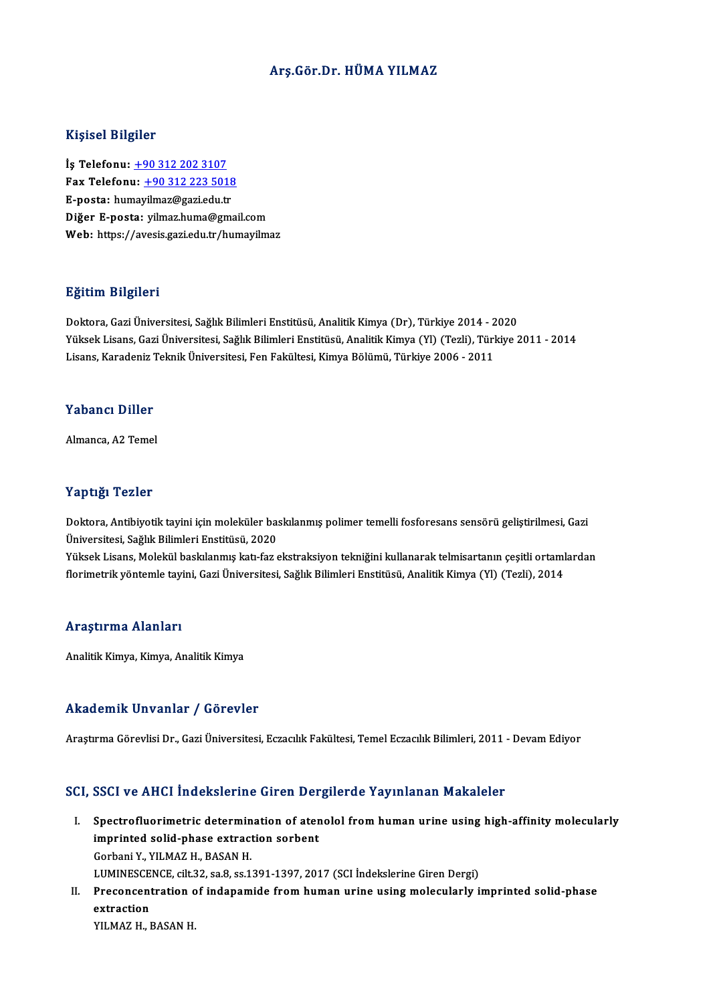# Arş.Gör.Dr.HÜMA YILMAZ

### Kişisel Bilgiler

İş Telefonu: +90 312 202 3107 11.9.001 21.9.101<br>İş Telefonu: <u>+90 312 202 3107</u><br>Fax Telefonu: <u>+90 312 223 5018</u><br>Fasta: humayilmaz@ssriedu.tr İş Telefonu: <u>+90 312 202 3107</u><br>Fax Telefonu: <u>+90 312 223 5018</u><br>E-posta: hu[may](tel:+90 312 202 3107)[ilmaz@gazi.edu.tr](tel:+90 312 223 5018)<br>Dižer E posta: vilmaz.buma@gma E-posta: humayilmaz@gazi.edu.tr<br>Diğer E-posta: yilmaz.huma@gmail.com Web: https://avesis.gazi.edu.tr/humayilmaz

# Eğitim Bilgileri

**Eğitim Bilgileri**<br>Doktora, Gazi Üniversitesi, Sağlık Bilimleri Enstitüsü, Analitik Kimya (Dr), Türkiye 2014 - 2020<br>Yüksek Lisans, Gazi Üniversitesi, Sağlık Bilimleri Enstitüsü, Analitik Kimya (Vl) (Tezli), Türkiye 2 Yüksek Lisans, Gazi Üniversitesi, Sağlık Bilimleri Enstitüsü, Analitik Kimya (Yl) (Tezli), Türkiye 2011 - 2014<br>Lisans, Karadeniz Teknik Üniversitesi, Fen Fakültesi, Kimya Bölümü, Türkiye 2006 - 2011 Doktora, Gazi Üniversitesi, Sağlık Bilimleri Enstitüsü, Analitik Kimya (Dr), Türkiye 2014 - 2<br>Yüksek Lisans, Gazi Üniversitesi, Sağlık Bilimleri Enstitüsü, Analitik Kimya (Yl) (Tezli), Türl<br>Lisans, Karadeniz Teknik Ünivers

# Yabancı Diller

Almanca, A2 Temel

#### Yaptığı Tezler

Yaptığı Tezler<br>Doktora, Antibiyotik tayini için moleküler baskılanmış polimer temelli fosforesans sensörü geliştirilmesi, Gazi<br>Üniversitesi, Sağlık Bilimleri Enstitüsü, 2020 1 üp ergi<br>Doktora, Antibiyotik tayini için moleküler ba:<br>Üniversitesi, Sağlık Bilimleri Enstitüsü, 2020<br>Vülgek Lisans, Molekül başkılanmış katı faz e Doktora, Antibiyotik tayini için moleküler baskılanmış polimer temelli fosforesans sensörü geliştirilmesi, Gazi<br>Üniversitesi, Sağlık Bilimleri Enstitüsü, 2020<br>Yüksek Lisans, Molekül baskılanmış katı-faz ekstraksiyon tekniğ

Üniversitesi, Sağlık Bilimleri Enstitüsü, 2020<br>Yüksek Lisans, Molekül baskılanmış katı-faz ekstraksiyon tekniğini kullanarak telmisartanın çeşitli ortaml<br>florimetrik yöntemle tayini, Gazi Üniversitesi, Sağlık Bilimleri Ens florimetrik yöntemle tayini, Gazi Üniversitesi, Sağlık Bilimleri Enstitüsü, Analitik Kimya (Yl) (Tezli), 2014<br>Araştırma Alanları

Analitik Kimya, Kimya, Analitik Kimya

# Akademik Unvanlar / Görevler

Araştırma Görevlisi Dr., Gazi Üniversitesi, Eczacılık Fakültesi, Temel Eczacılık Bilimleri, 2011 - Devam Ediyor

# SCI, SSCI ve AHCI İndekslerine Giren Dergilerde Yayınlanan Makaleler

- CI, SSCI ve AHCI İndekslerine Giren Dergilerde Yayınlanan Makaleler<br>I. Spectrofluorimetric determination of atenolol from human urine using high-affinity molecularly<br>imprinted solid phase extraction serbent Spectrofluorimetric determination of ater<br>imprinted solid-phase extraction sorbent<br>Corbeni Y, VII MAZ H, BASAN H Spectrofluorimetric determin<br>imprinted solid-phase extract<br>Gorbani Y., YILMAZ H., BASAN H.<br>LUMINESCENCE silt 22, 29.8, 25.1 imprinted solid-phase extraction sorbent<br>Gorbani Y., YILMAZ H., BASAN H.<br>LUMINESCENCE, cilt.32, sa.8, ss.1391-1397, 2017 (SCI İndekslerine Giren Dergi) Gorbani Y., YILMAZ H., BASAN H.<br>LUMINESCENCE, cilt.32, sa.8, ss.1391-1397, 2017 (SCI İndekslerine Giren Dergi)<br>II. Preconcentration of indapamide from human urine using molecularly imprinted solid-phase<br>ovtraction
- LUMINESCE<br>Preconcent<br>extraction<br>VILMAZH Preconcentration c<br>extraction<br>YILMAZ H., BASAN H.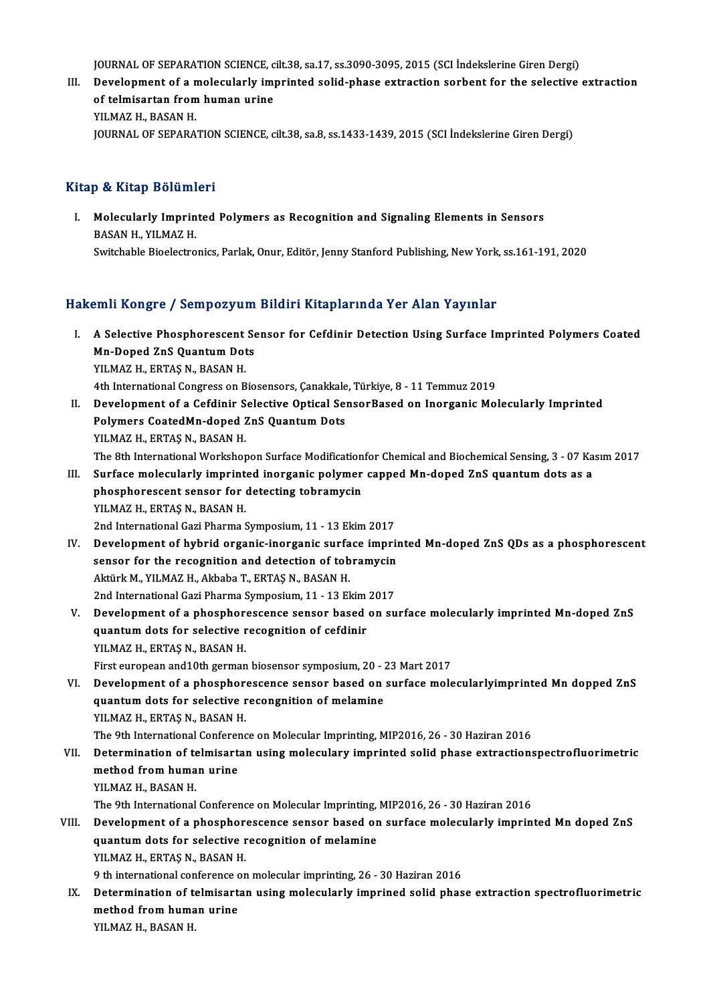JOURNAL OF SEPARATION SCIENCE, cilt.38, sa.17, ss.3090-3095, 2015 (SCI İndekslerine Giren Dergi)<br>Develenment of a melasularly imnuinted selid phase extrection serbent for the selective

JOURNAL OF SEPARATION SCIENCE, cilt.38, sa.17, ss.3090-3095, 2015 (SCI İndekslerine Giren Dergi)<br>III. Development of a molecularly imprinted solid-phase extraction sorbent for the selective extraction<br>A stalmisantar fr JOURNAL OF SEPARATION SCIENCE, c<br>Development of a molecularly imp<br>of telmisartan from human urine<br>VU MAZ H. PASAN H Development of a n<br>of telmisartan from<br>YILMAZ H., BASAN H.<br>JOUPMAL OF SEPARA of telmisartan from human urine<br>YILMAZ H., BASAN H.<br>JOURNAL OF SEPARATION SCIENCE, cilt.38, sa.8, ss.1433-1439, 2015 (SCI İndekslerine Giren Dergi)

# Kitap & Kitap Bölümleri

Itap & Kitap Bölümleri<br>I. Molecularly Imprinted Polymers as Recognition and Signaling Elements in Sensors<br>RASAN H. VILMAZ H **BASAN H., YILMAZ H.<br>BASAN H., YILMAZ H.<br>Suitsbable Bioclestre** BASAN H., YILMAZ H.<br>Switchable Bioelectronics, Parlak, Onur, Editör, Jenny Stanford Publishing, New York, ss.161-191, 2020

# Hakemli Kongre / Sempozyum Bildiri Kitaplarında Yer Alan Yayınlar

- akemli Kongre / Sempozyum Bildiri Kitaplarında Yer Alan Yayınlar<br>I. A Selective Phosphorescent Sensor for Cefdinir Detection Using Surface Imprinted Polymers Coated<br>Ma Dened ZaS Quantum Deta Mini Rongre / Somponyum<br>A Selective Phosphorescent Se<br>Mn-Doped ZnS Quantum Dots<br>VI M47 H. EBTAS N. BASAN H Mn-Doped ZnS Quantum Dots<br>YILMAZ H., ERTAŞ N., BASAN H. Mn-Doped ZnS Quantum Dots<br>YILMAZ H., ERTAŞ N., BASAN H.<br>4th International Congress on Biosensors, Çanakkale, Türkiye, 8 - 11 Temmuz 2019<br>Davelonment of a Cofdinir Selective Onticel SensorPased en Inerganis Mel
- II. Development of a Cefdinir Selective Optical SensorBased on Inorganic Molecularly Imprinted 4th International Congress on Biosensors, Çanakkale<br>Development of a Cefdinir Selective Optical Sei<br>Polymers CoatedMn-doped ZnS Quantum Dots<br>VII MAZ H. ERTAS N. PASAN H Polymers CoatedMn-doped ZnS Quantum Dots<br>YILMAZ H., ERTAŞ N., BASAN H. Polymers CoatedMn-doped ZnS Quantum Dots<br>YILMAZ H., ERTAŞ N., BASAN H.<br>The 8th International Workshopon Surface Modificationfor Chemical and Biochemical Sensing, 3 - 07 Kasım 2017<br>Surface molecularly imprinted inerganis po YILMAZ H., ERTAŞ N., BASAN H.<br>The 8th International Workshopon Surface Modificationfor Chemical and Biochemical Sensing, 3 - 07 Ka<br>III. Surface molecularly imprinted inorganic polymer capped Mn-doped ZnS quantum dots as a<br>
- The 8th International Workshopon Surface Modification<br>Surface molecularly imprinted inorganic polymer<br>phosphorescent sensor for detecting tobramycin<br>VU MAZ H. ERTAS N. RASAN H Surface molecularly imprint<br>phosphorescent sensor for<br>YILMAZ H., ERTAŞ N., BASAN H.<br>2nd International Cari Pharma ( phosphorescent sensor for detecting tobramycin<br>2012 YILMAZ H., ERTAŞ N., BASAN H.<br>2nd International Gazi Pharma Symposium, 11 - 13 Ekim 2017 YILMAZ H., ERTAŞ N., BASAN H.<br>2nd International Gazi Pharma Symposium, 11 - 13 Ekim 2017<br>IV. Development of hybrid organic-inorganic surface imprinted Mn-doped ZnS QDs as a phosphorescent<br>200000 for the recognition and det
	-
- 2nd International Gazi Pharma Symposium, 11 13 Ekim 2017<br>Development of hybrid organic-inorganic surface impri<br>sensor for the recognition and detection of tobramycin<br>Altürk M, VII MAZ H, Altheba T, EPTAS N, BASAN H Development of hybrid organic-inorganic surfa<br>sensor for the recognition and detection of tob<br>Aktürk M., YILMAZ H., Akbaba T., ERTAŞ N., BASAN H.<br>2nd International Cari Pharma Sumnasium 11, 12 El sensor for the recognition and detection of tobramycin<br>Aktürk M., YILMAZ H., Akbaba T., ERTAŞ N., BASAN H.<br>2nd International Gazi Pharma Symposium, 11 - 13 Ekim 2017 Aktürk M., YILMAZ H., Akbaba T., ERTAŞ N., BASAN H.<br>2nd International Gazi Pharma Symposium, 11 - 13 Ekim 2017<br>V. Development of a phosphorescence sensor based on surface molecularly imprinted Mn-doped ZnS<br>quantum data
- 2nd International Gazi Pharma Symposium, 11 13 Ekim<br>Development of a phosphorescence sensor based<br>quantum dots for selective recognition of cefdinir<br>VII MAZ H. EPTAS N. BASAN H Development of a phosphor<br>quantum dots for selective r<br>YILMAZ H., ERTAŞ N., BASAN H.<br>First auronean and 10th serman quantum dots for selective recognition of cefdinir<br>FILMAZ H., ERTAŞ N., BASAN H.<br>First european and10th german biosensor symposium, 20 - 23 Mart 2017 YILMAZ H., ERTAŞ N., BASAN H.<br>First european and 10th german biosensor symposium, 20 - 23 Mart 2017<br>VI. Development of a phosphorescence sensor based on surface molecularlyimprinted Mn dopped ZnS<br>quantum data for selective
- First european and 10th german biosensor symposium, 20 2<br>Development of a phosphorescence sensor based on<br>quantum dots for selective recongnition of melamine<br>VII MAZ H. ERTAS N. PASAN H Development of a phosphor<br>quantum dots for selective r<br>YILMAZ H., ERTAŞ N., BASAN H.<br>The 9th International Conferenc quantum dots for selective recongnition of melamine<br>YILMAZ H., ERTAŞ N., BASAN H.<br>The 9th International Conference on Molecular Imprinting, MIP2016, 26 - 30 Haziran 2016<br>Determination of telmisortan using melasulary imprin

YILMAZ H., ERTAŞ N., BASAN H.<br>The 9th International Conference on Molecular Imprinting, MIP2016, 26 - 30 Haziran 2016<br>VII. Determination of telmisartan using moleculary imprinted solid phase extractionspectrofluorimetr The 9th International Conferer<br>Determination of telmisart<br>method from human urine<br>VII MAZ H. PASAN H YILMAZ H., BASAN H. The 9th International Conference on Molecular Imprinting, MIP2016, 26 - 30 Haziran 2016

VIII. Development of a phosphorescence sensor based on surface molecularly imprinted Mn doped ZnS The 9th International Conference on Molecular Imprinting,<br>Development of a phosphorescence sensor based or<br>quantum dots for selective recognition of melamine<br>VU MAZ H. ERTAS N. RASAN H Development of a phosphor<br>quantum dots for selective r<br>YILMAZ H., ERTAŞ N., BASAN H.<br>0 th international conference on

9 th international conference onmolecular imprinting,26 -30Haziran2016

YILMAZ H., ERTAŞ N., BASAN H.<br>9 th international conference on molecular imprinting, 26 - 30 Haziran 2016<br>IX. Determination of telmisartan using molecularly imprined solid phase extraction spectrofluorimetric<br>mothod from h 9 th international conference of<br>Determination of telmisart<br>method from human urine<br>VII MAZ H. PASAN H Determination of to<br>method from huma<br>YILMAZ H., BASAN H.